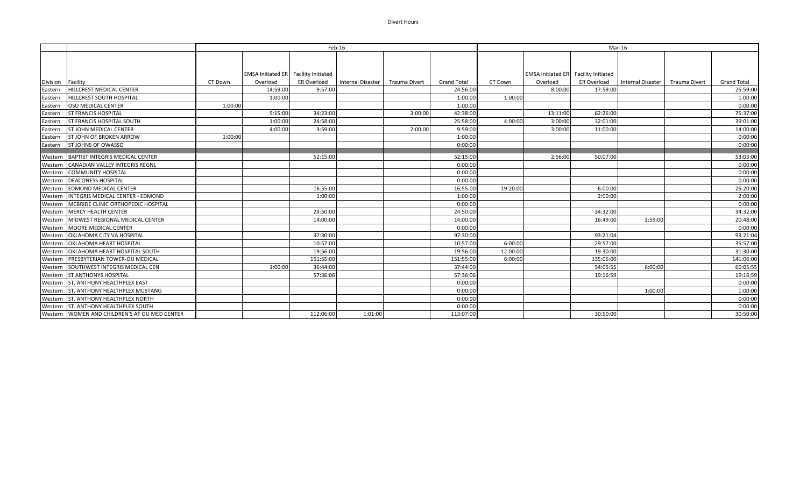## Divert Hours

|                   |                                               | Feb-16  |                                      |             |                          |               | Mar-16             |          |                                             |             |                   |               |                    |
|-------------------|-----------------------------------------------|---------|--------------------------------------|-------------|--------------------------|---------------|--------------------|----------|---------------------------------------------|-------------|-------------------|---------------|--------------------|
|                   |                                               |         |                                      |             |                          |               |                    |          |                                             |             |                   |               |                    |
|                   |                                               |         | EMSA Initiated ER Facility Initiated |             |                          |               |                    |          | <b>EMSA Initiated ER</b> Facility Initiated |             |                   |               |                    |
| Division Facility |                                               | CT Down | Overload                             | ER Overload | <b>Internal Disaster</b> | Trauma Divert | <b>Grand Total</b> | CT Down  | Overload                                    | ER Overload | Internal Disaster | Trauma Divert | <b>Grand Total</b> |
| Eastern           | HILLCREST MEDICAL CENTER                      |         | 14:59:00                             | 9:57:00     |                          |               | 24:56:00           |          | 8:00:00                                     | 17:59:00    |                   |               | 25:59:00           |
| Eastern           | HILLCREST SOUTH HOSPITAL                      |         | 1:00:00                              |             |                          |               | 1:00:00            | 1:00:00  |                                             |             |                   |               | 1:00:00            |
| Eastern           | <b>OSU MEDICAL CENTER</b>                     | 1:00:00 |                                      |             |                          |               | 1:00:00            |          |                                             |             |                   |               | 0:00:00            |
| Eastern           | <b>ST FRANCIS HOSPITAL</b>                    |         | 5:15:00                              | 34:23:00    |                          | 3:00:00       | 42:38:00           |          | 13:11:00                                    | 62:26:00    |                   |               | 75:37:00           |
| Eastern           | <b>ST FRANCIS HOSPITAL SOUTH</b>              |         | 1:00:00                              | 24:58:00    |                          |               | 25:58:00           | 4:00:00  | 3:00:00                                     | 32:01:00    |                   |               | 39:01:00           |
| Eastern           | <b>ST JOHN MEDICAL CENTER</b>                 |         | 4:00:00                              | 3:59:00     |                          | 2:00:00       | 9:59:00            |          | 3:00:00                                     | 11:00:00    |                   |               | 14:00:00           |
| Eastern           | <b>ST JOHN OF BROKEN ARROW</b>                | 1:00:00 |                                      |             |                          |               | 1:00:00            |          |                                             |             |                   |               | 0:00:00            |
| Eastern           | <b>ST JOHNS OF OWASSO</b>                     |         |                                      |             |                          |               | 0:00:00            |          |                                             |             |                   |               | 0:00:00            |
|                   | Western   BAPTIST INTEGRIS MEDICAL CENTER     |         |                                      | 52:15:00    |                          |               | 52:15:00           |          | 2:56:00                                     | 50:07:00    |                   |               | 53:03:00           |
| Western           | <b>CANADIAN VALLEY INTEGRIS REGNL</b>         |         |                                      |             |                          |               | 0:00:00            |          |                                             |             |                   |               | 0:00:00            |
| Western           | <b>COMMUNITY HOSPITAL</b>                     |         |                                      |             |                          |               | 0:00:00            |          |                                             |             |                   |               | 0:00:00            |
| Western           | <b>DEACONESS HOSPITAL</b>                     |         |                                      |             |                          |               | 0:00:00            |          |                                             |             |                   |               | 0:00:00            |
| Western           | <b>EDMOND MEDICAL CENTER</b>                  |         |                                      | 16:55:00    |                          |               | 16:55:00           | 19:20:00 |                                             | 6:00:00     |                   |               | 25:20:00           |
| Western           | INTEGRIS MEDICAL CENTER - EDMOND              |         |                                      | 1:00:00     |                          |               | 1:00:00            |          |                                             | 2:00:00     |                   |               | 2:00:00            |
| Western           | MCBRIDE CLINIC ORTHOPEDIC HOSPITAL            |         |                                      |             |                          |               | 0:00:00            |          |                                             |             |                   |               | 0:00:00            |
|                   | Western MERCY HEALTH CENTER                   |         |                                      | 24:50:00    |                          |               | 24:50:00           |          |                                             | 34:32:00    |                   |               | 34:32:00           |
| Western           | MIDWEST REGIONAL MEDICAL CENTER               |         |                                      | 14:00:00    |                          |               | 14:00:00           |          |                                             | 16:49:00    | 3:59:00           |               | 20:48:00           |
| Western           | <b>MOORE MEDICAL CENTER</b>                   |         |                                      |             |                          |               | 0:00:00            |          |                                             |             |                   |               | 0:00:00            |
| Western           | OKLAHOMA CITY VA HOSPITAL                     |         |                                      | 97:30:00    |                          |               | 97:30:00           |          |                                             | 93:21:04    |                   |               | 93:21:04           |
| Western           | <b>OKLAHOMA HEART HOSPITAL</b>                |         |                                      | 10:57:00    |                          |               | 10:57:00           | 6:00:00  |                                             | 29:57:00    |                   |               | 35:57:00           |
| Western           | OKLAHOMA HEART HOSPITAL SOUTH                 |         |                                      | 19:56:00    |                          |               | 19:56:00           | 12:00:00 |                                             | 19:30:00    |                   |               | 31:30:00           |
| Western           | <b>PRESBYTERIAN TOWER-OU MEDICAL</b>          |         |                                      | 151:55:00   |                          |               | 151:55:00          | 6:00:00  |                                             | 135:06:00   |                   |               | 141:06:00          |
| Western           | SOUTHWEST INTEGRIS MEDICAL CEN                |         | 1:00:00                              | 36:44:00    |                          |               | 37:44:00           |          |                                             | 54:05:55    | 6:00:00           |               | 60:05:55           |
|                   | Western ST ANTHONYS HOSPITAL                  |         |                                      | 57:36:06    |                          |               | 57:36:06           |          |                                             | 19:16:59    |                   |               | 19:16:59           |
|                   | Western ST. ANTHONY HEALTHPLEX EAST           |         |                                      |             |                          |               | 0:00:00            |          |                                             |             |                   |               | 0:00:00            |
| Western           | ST. ANTHONY HEALTHPLEX MUSTANG                |         |                                      |             |                          |               | 0:00:00            |          |                                             |             | 1:00:00           |               | 1:00:00            |
| Western           | ST. ANTHONY HEALTHPLEX NORTH                  |         |                                      |             |                          |               | 0:00:00            |          |                                             |             |                   |               | 0:00:00            |
|                   | Western ST. ANTHONY HEALTHPLEX SOUTH          |         |                                      |             |                          |               | 0:00:00            |          |                                             |             |                   |               | 0:00:00            |
|                   | Western WOMEN AND CHILDREN'S AT OU MED CENTER |         |                                      | 112:06:00   | 1:01:00                  |               | 113:07:00          |          |                                             | 30:50:00    |                   |               | 30:50:00           |